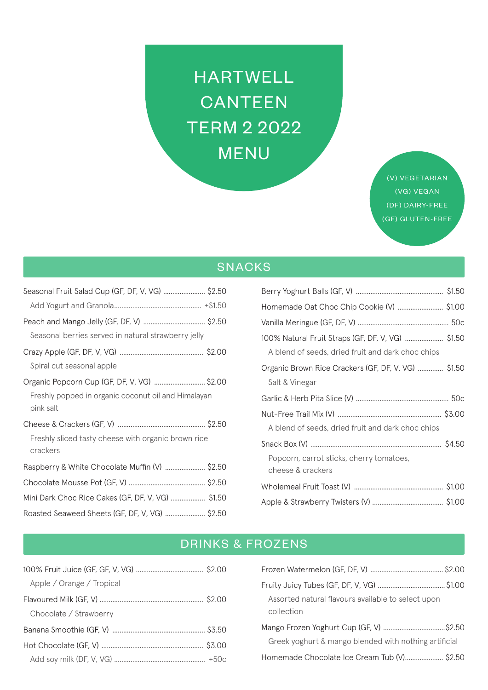# **HARTWELL** CANTEEN **TERM 2 2022 MENU**

(V) VEGETARIAN (VG) VEGAN (DF) DAIRY-FREE (GF) GLUTEN-FREE

## SNACKS

| Seasonal Fruit Salad Cup (GF, DF, V, VG)  \$2.50                 |
|------------------------------------------------------------------|
|                                                                  |
|                                                                  |
| Seasonal berries served in natural strawberry jelly              |
|                                                                  |
| Spiral cut seasonal apple                                        |
| Organic Popcorn Cup (GF, DF, V, VG)  \$2.00                      |
| Freshly popped in organic coconut oil and Himalayan<br>pink salt |
|                                                                  |
|                                                                  |
| Freshly sliced tasty cheese with organic brown rice              |
| crackers                                                         |
| Raspberry & White Chocolate Muffin (V)  \$2.50                   |
|                                                                  |
| Mini Dark Choc Rice Cakes (GF, DF, V, VG)  \$1.50                |
| Roasted Seaweed Sheets (GF, DF, V, VG)  \$2.50                   |

| Homemade Oat Choc Chip Cookie (V) \$1.00                                                               |
|--------------------------------------------------------------------------------------------------------|
|                                                                                                        |
| 100% Natural Fruit Straps (GF, DF, V, VG)  \$1.50<br>A blend of seeds, dried fruit and dark choc chips |
| Organic Brown Rice Crackers (GF, DF, V, VG)  \$1.50<br>Salt & Vinegar                                  |
|                                                                                                        |
| A blend of seeds, dried fruit and dark choc chips                                                      |
| Popcorn, carrot sticks, cherry tomatoes,<br>cheese & crackers                                          |
|                                                                                                        |
|                                                                                                        |

# **DRINKS & FROZENS**

| Apple / Orange / Tropical |  |
|---------------------------|--|
|                           |  |
| Chocolate / Strawberry    |  |
|                           |  |
|                           |  |
|                           |  |
|                           |  |

| Assorted natural flavours available to select upon<br>collection |  |
|------------------------------------------------------------------|--|
| Mango Frozen Yoghurt Cup (GF, V) \$2.50                          |  |
| Greek yoghurt & mango blended with nothing artificial            |  |
| Homemade Chocolate Ice Cream Tub (V) \$2.50                      |  |